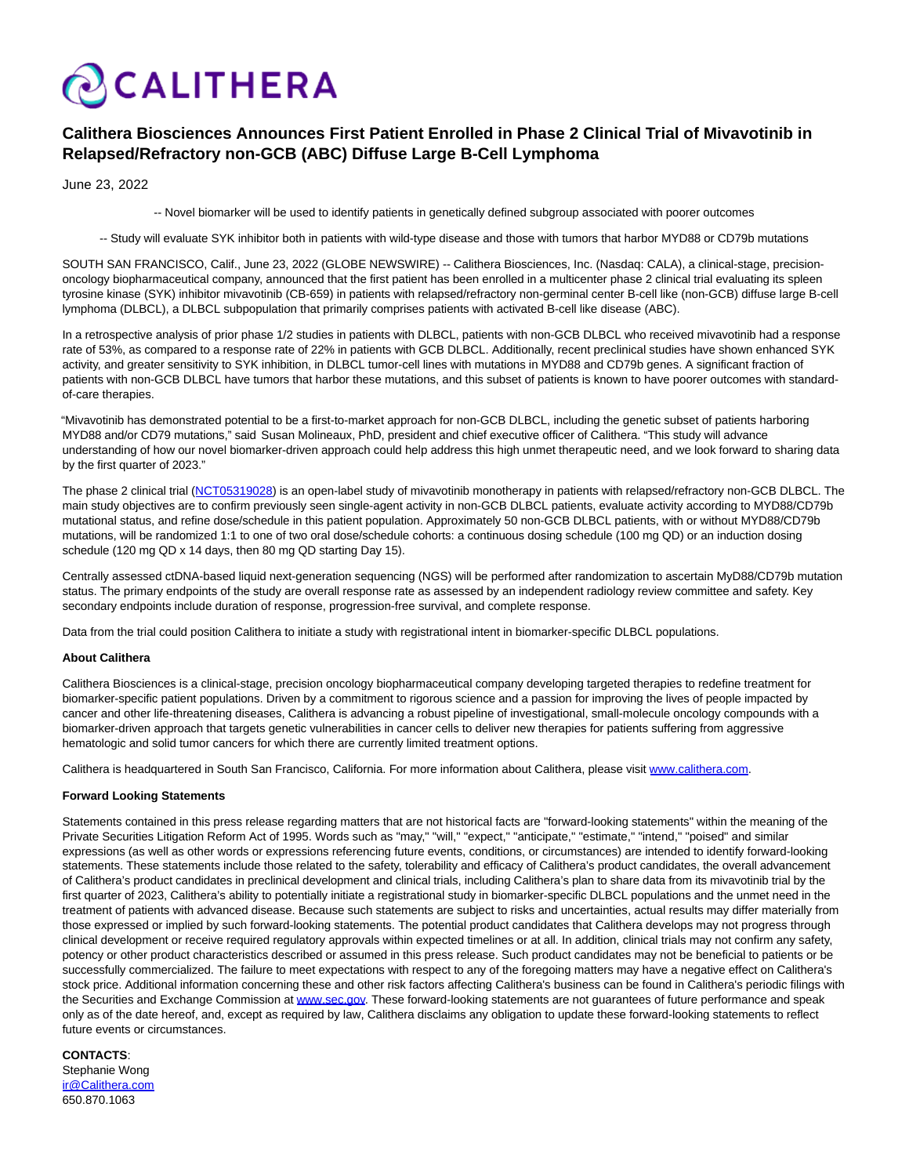

# **Calithera Biosciences Announces First Patient Enrolled in Phase 2 Clinical Trial of Mivavotinib in Relapsed/Refractory non-GCB (ABC) Diffuse Large B-Cell Lymphoma**

June 23, 2022

-- Novel biomarker will be used to identify patients in genetically defined subgroup associated with poorer outcomes

-- Study will evaluate SYK inhibitor both in patients with wild-type disease and those with tumors that harbor MYD88 or CD79b mutations

SOUTH SAN FRANCISCO, Calif., June 23, 2022 (GLOBE NEWSWIRE) -- Calithera Biosciences, Inc. (Nasdaq: CALA), a clinical-stage, precisiononcology biopharmaceutical company, announced that the first patient has been enrolled in a multicenter phase 2 clinical trial evaluating its spleen tyrosine kinase (SYK) inhibitor mivavotinib (CB-659) in patients with relapsed/refractory non-germinal center B-cell like (non-GCB) diffuse large B-cell lymphoma (DLBCL), a DLBCL subpopulation that primarily comprises patients with activated B-cell like disease (ABC).

In a retrospective analysis of prior phase 1/2 studies in patients with DLBCL, patients with non-GCB DLBCL who received mivavotinib had a response rate of 53%, as compared to a response rate of 22% in patients with GCB DLBCL. Additionally, recent preclinical studies have shown enhanced SYK activity, and greater sensitivity to SYK inhibition, in DLBCL tumor-cell lines with mutations in MYD88 and CD79b genes. A significant fraction of patients with non-GCB DLBCL have tumors that harbor these mutations, and this subset of patients is known to have poorer outcomes with standardof-care therapies.

"Mivavotinib has demonstrated potential to be a first-to-market approach for non-GCB DLBCL, including the genetic subset of patients harboring MYD88 and/or CD79 mutations," said Susan Molineaux, PhD, president and chief executive officer of Calithera. "This study will advance understanding of how our novel biomarker-driven approach could help address this high unmet therapeutic need, and we look forward to sharing data by the first quarter of 2023."

The phase 2 clinical trial [\(NCT05319028\)](https://www.globenewswire.com/Tracker?data=hf0wSRUgh575TIH-gxhJdI3o95jYvWk4zDc_gj2V2ooq_r31n-cIPJkFgqyL-un9nWs7CQsNS4PqN-JFsP6A7o_lCbZ2695Y0SvaL9HVZES3l0TTym_ilif9LD019TilSFeJxrRWuczk9bvQnv4m0A==) is an open-label study of mivavotinib monotherapy in patients with relapsed/refractory non-GCB DLBCL. The main study objectives are to confirm previously seen single-agent activity in non-GCB DLBCL patients, evaluate activity according to MYD88/CD79b mutational status, and refine dose/schedule in this patient population. Approximately 50 non-GCB DLBCL patients, with or without MYD88/CD79b mutations, will be randomized 1:1 to one of two oral dose/schedule cohorts: a continuous dosing schedule (100 mg QD) or an induction dosing schedule (120 mg QD x 14 days, then 80 mg QD starting Day 15).

Centrally assessed ctDNA-based liquid next-generation sequencing (NGS) will be performed after randomization to ascertain MyD88/CD79b mutation status. The primary endpoints of the study are overall response rate as assessed by an independent radiology review committee and safety. Key secondary endpoints include duration of response, progression-free survival, and complete response.

Data from the trial could position Calithera to initiate a study with registrational intent in biomarker-specific DLBCL populations.

## **About Calithera**

Calithera Biosciences is a clinical-stage, precision oncology biopharmaceutical company developing targeted therapies to redefine treatment for biomarker-specific patient populations. Driven by a commitment to rigorous science and a passion for improving the lives of people impacted by cancer and other life-threatening diseases, Calithera is advancing a robust pipeline of investigational, small-molecule oncology compounds with a biomarker-driven approach that targets genetic vulnerabilities in cancer cells to deliver new therapies for patients suffering from aggressive hematologic and solid tumor cancers for which there are currently limited treatment options.

Calithera is headquartered in South San Francisco, California. For more information about Calithera, please visit [www.calithera.com.](http://www.calithera.com/)

#### **Forward Looking Statements**

Statements contained in this press release regarding matters that are not historical facts are "forward-looking statements" within the meaning of the Private Securities Litigation Reform Act of 1995. Words such as "may," "will," "expect," "anticipate," "estimate," "intend," "poised" and similar expressions (as well as other words or expressions referencing future events, conditions, or circumstances) are intended to identify forward-looking statements. These statements include those related to the safety, tolerability and efficacy of Calithera's product candidates, the overall advancement of Calithera's product candidates in preclinical development and clinical trials, including Calithera's plan to share data from its mivavotinib trial by the first quarter of 2023, Calithera's ability to potentially initiate a registrational study in biomarker-specific DLBCL populations and the unmet need in the treatment of patients with advanced disease. Because such statements are subject to risks and uncertainties, actual results may differ materially from those expressed or implied by such forward-looking statements. The potential product candidates that Calithera develops may not progress through clinical development or receive required regulatory approvals within expected timelines or at all. In addition, clinical trials may not confirm any safety, potency or other product characteristics described or assumed in this press release. Such product candidates may not be beneficial to patients or be successfully commercialized. The failure to meet expectations with respect to any of the foregoing matters may have a negative effect on Calithera's stock price. Additional information concerning these and other risk factors affecting Calithera's business can be found in Calithera's periodic filings with the Securities and Exchange Commission at [www.sec.gov.](http://www.sec.gov/) These forward-looking statements are not quarantees of future performance and speak only as of the date hereof, and, except as required by law, Calithera disclaims any obligation to update these forward-looking statements to reflect future events or circumstances.

## **CONTACTS**:

Stephanie Wong [ir@Calithera.com](https://www.globenewswire.com/Tracker?data=mmwa1cRPQzoovpmPpXO0riLjD0J9zZVSOVznXg5gCfGzpMrGfu8W2brgkY2RPVHKVMXmXbePzlqzMicSoEJJng==) 650.870.1063